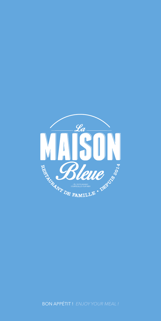

BON APPÉTIT ! *ENJOY YOUR MEAL !*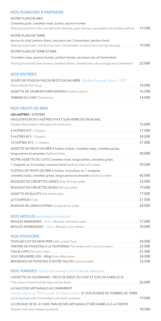| <b>NOS PLANCHES A PARTAGER</b>                                                                            |        |
|-----------------------------------------------------------------------------------------------------------|--------|
| NOTRE PLANCHE MER                                                                                         |        |
| Crevettes grise, crevettes roses, bulots, saumon fumée                                                    |        |
| Sharing board from the sea with pink shrimps, grey shrimps, sea wealk and smoked salmon $\_\$ 19.50 $\in$ |        |
| NOTRE PLANCHE TERRE                                                                                       |        |
| terrine du chef, jambon blanc, saucisson sec, Camembert, jambon fumé                                      |        |
| Sharing board with chef terrine, ham, Camembert, smoked ham and dry sausage                               | 19.50€ |
| NOTRE PLANCHE TERRE ET MER                                                                                |        |
| Crevettes roses, saumon fumée, jambon fumée, saucisson sec et Camembert                                   |        |
| Sharing board with pink shrimps, smoked salmon, smoked ham, dry sausage and Camembert                     | 22.00€ |
|                                                                                                           |        |

## NOS ENTRÉES

| SOUPE DE POISSON FAÇON RESTO DE MA MÈRE Recette Originale depuis 1981 |        |
|-----------------------------------------------------------------------|--------|
| Home Made Fish Soup                                                   | 14.00€ |
| ASSIETTE DE SAUMON FUMÉ MAISON Smoked salmon                          | 16.50€ |
| <b>TERRINE DU CHEF Chef terrine</b>                                   | 14.00€ |

## NOS FRUITS DE MER

# LES HUÎTRES / OYSTERS DÉGUSTATION DE 6 HUÎTRES N°4 ET SON VERRE DE VIN BLANC *Oysters degustation with glass of white wine* \_\_\_\_\_\_\_\_\_\_\_\_\_\_\_\_\_\_\_\_\_\_\_\_\_\_\_\_\_\_\_\_\_\_\_\_\_\_\_\_\_\_\_\_\_\_\_\_\_\_\_\_\_\_\_\_\_\_\_\_\_\_\_\_\_ 16.00€ 6 HUÎTRES N°3 6 *Oysters*\_\_\_\_\_\_\_\_\_\_\_\_\_\_\_\_\_\_\_\_\_\_\_\_\_\_\_\_\_\_\_\_\_\_\_\_\_\_\_\_\_\_\_\_\_\_\_\_\_\_\_\_\_\_\_\_\_\_\_\_\_\_\_\_\_\_\_\_\_\_\_\_\_\_\_\_\_\_\_\_\_\_\_\_\_\_\_\_\_\_\_ 17.00€ 9 HUÎTRES N°3 9 *Oysters*\_\_\_\_\_\_\_\_\_\_\_\_\_\_\_\_\_\_\_\_\_\_\_\_\_\_\_\_\_\_\_\_\_\_\_\_\_\_\_\_\_\_\_\_\_\_\_\_\_\_\_\_\_\_\_\_\_\_\_\_\_\_\_\_\_\_\_\_\_\_\_\_\_\_\_\_\_\_\_\_\_\_\_\_\_\_\_\_\_\_\_ 24.00€ 12 HUÎTRES N°3 12 *Oysters* \_\_\_\_\_\_\_\_\_\_\_\_\_\_\_\_\_\_\_\_\_\_\_\_\_\_\_\_\_\_\_\_\_\_\_\_\_\_\_\_\_\_\_\_\_\_\_\_\_\_\_\_\_\_\_\_\_\_\_\_\_\_\_\_\_\_\_\_\_\_\_\_\_\_\_\_\_\_\_\_\_\_\_\_\_\_\_ 31.00€ ASSIETTE DE FRUITS DE MER 4 huîtres, bulots, crevettes roses, crevettes grises, langoustines et amandes *Seafood plate* \_\_\_\_\_\_\_\_\_\_\_\_\_\_\_\_\_\_\_\_\_\_\_\_\_\_\_\_\_\_\_\_\_\_\_\_\_\_\_\_\_\_\_\_\_\_\_\_\_\_\_\_\_\_\_\_\_\_\_\_\_\_\_\_\_\_\_\_\_\_\_ 28.00€ NOTRE ASSIETTE DE CUITS Crevettes roses, langoustines, crevettes grises, 1 araignée ou ½ tourteau, saumon fumé *Seafood plate all cocked* \_\_\_\_\_\_\_\_\_\_\_\_\_\_\_\_\_\_\_\_\_\_\_\_\_\_\_\_\_\_\_\_\_\_\_\_\_ 39.50€ PLATEAU DE FRUITS DE MER 6 huîtres, ½ tourteau ou 1 araignée, crevettes roses, crevettes grises, langoustines et amandes *Seafood platter*\_\_\_\_\_\_\_\_\_\_\_\_\_\_\_\_\_\_\_\_\_\_\_\_\_\_ 42.00€ BOUQUET DE CREVETTES GRISES *Grey Shrimps plate*\_\_\_\_\_\_\_\_\_\_\_\_\_\_\_\_\_\_\_\_\_\_\_\_\_\_\_\_\_\_\_\_\_\_\_\_\_\_\_\_\_\_\_\_\_\_\_\_\_\_\_\_ 16.00€ BOUQUET DE CREVETTES ROSES *Shrimps plate* \_\_\_\_\_\_\_\_\_\_\_\_\_\_\_\_\_\_\_\_\_\_\_\_\_\_\_\_\_\_\_\_\_\_\_\_\_\_\_\_\_\_\_\_\_\_\_\_\_\_\_\_\_\_\_\_\_\_\_ 19.00€ ASSIETTE DE BULOTS *Sea-whelk plate*\_\_\_\_\_\_\_\_\_\_\_\_\_\_\_\_\_\_\_\_\_\_\_\_\_\_\_\_\_\_\_\_\_\_\_\_\_\_\_\_\_\_\_\_\_\_\_\_\_\_\_\_\_\_\_\_\_\_\_\_\_\_\_\_\_\_\_\_\_\_\_\_\_ 17.00€ LE TOURTEAU *Crab*\_\_\_\_\_\_\_\_\_\_\_\_\_\_\_\_\_\_\_\_\_\_\_\_\_\_\_\_\_\_\_\_\_\_\_\_\_\_\_\_\_\_\_\_\_\_\_\_\_\_\_\_\_\_\_\_\_\_\_\_\_\_\_\_\_\_\_\_\_\_\_\_\_\_\_\_\_\_\_\_\_\_\_\_\_\_\_\_\_\_\_\_\_\_\_\_\_\_ 21.00€ BUISSON DE LANGOUSTINES *Langoustines plate*\_\_\_\_\_\_\_\_\_\_\_\_\_\_\_\_\_\_\_\_\_\_\_\_\_\_\_\_\_\_\_\_\_\_\_\_\_\_\_\_\_\_\_\_\_\_\_\_\_\_\_\_\_\_\_\_\_\_ 24.00€

## NOS MOULES (DISPONIBLES EN SAISON)

| MOULES MARINIERES + $f$ utes Mussels marinières style     | 17.00€ |
|-----------------------------------------------------------|--------|
| MOULES NORMANDES + <i>fulte &gt; Mussels «à la crème»</i> | 18.00€ |

## NOS POISSONS

| THON MI-CUIT DE MON PÈRE Half cooked Tuna                           | 24.00€ |
|---------------------------------------------------------------------|--------|
| TARTARE DE POISSONS À LA TAHITIENNE Fish tartare with coconut cream | 23.00€ |
| FISH & CHIPS Fish and chips                                         | 21.00€ |
| SOLE MEUNIÈRE (300 - 400q) Sole «Meunière»                          | 34.00€ |
| BRANDADE DE POISSONS À NOTRE FAÇON Cod brandade                     | 16.50€ |

## NOS VIANDES (TOUTES NOS VIANDES SONT D'ORIGINE FRANÇAISE)

| L'ASSIETTE DU GOURMAND : PIÈCE DE BŒUF DU CHEF ET SON OS À MŒLLE XL             |        |
|---------------------------------------------------------------------------------|--------|
| Fine piece of beef and the big marrow bone                                      | 26.00€ |
| LA SAUCISSE ARTISANALE AU CAMEMBERT                                             |        |
| « la Boucherie de Mr Paumier, St Aubin s mer » ET SON ÉCRASÉ DE POMMES DE TERRE |        |
| Local sausage with Camembert and mash potatoes                                  | 19.00€ |
| LE CROQUE DE M. LE CHEF, PAIN DE MIE ARTISANAL ET BÉCHAMELLE À LA TRUFFE        |        |
| Toasted ham and cheese sandwich                                                 | 18.50€ |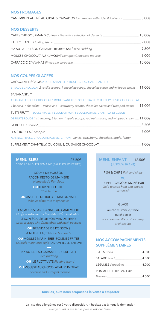## **NOS FROMAGES**

CAMEMBERT AFFINÉ AU CIDRE & CALVADOS Camembert with cider & Calvados 8.00€

## **NOS DESSERTS**

| CAFÉ / THÉ GOURMAND Coffee or Tea with a selection of desserts | 10.00€ |
|----------------------------------------------------------------|--------|
| ÎLE FLOTTANTE Floating island                                  | 9.00€  |
| RIZ AU LAIT ET SON CARAMEL BEURRE SALÉ Rice Pudding            | 9.50€  |
| MOUSSE CHOCOLAT AU KUMQUAT Kumquat Chocolate mousse            | 9.00€  |
| CARPACCIO D'ANANAS Pineapple carpaccio                         | 10.00€ |

## **NOS COUPES GLACÉES**

**CHOCOLAT LIÉGEOIS 2 BOULES VANILLE, 1 BOULE CHOCOLAT, CHANTILLY** ET SAUCE CHOCOLAT 2 vanilla scoops, 1 chocolate scoop, chocolate sauce and whipped cream  $\_$   $11.00\epsilon$ **BANANA SPI IT** 1 BANANE, 1 BOULE CHOCOLAT, 1 BOULE VANILLE, 1 BOULE FRAISE, CHANTILLY ET SAUCE CHOCOLAT 1 banana, 1 chocolate, 1 vanilla and 1 strawberry scoops, chocolate sauce and whipped cream  $\_\_$  11.00 $\in$ TUTTI FRUTTI 1 BOULE FRAISE, 1 BOULE CITRON, 1 BOULE POMME, CHANTILLY ET COULIS DE FRUITS ROUGE 1 strawberry, 1 lemon, 1 apple scoops, red fruits sauce, and whipped cream  $\_\$ 11.00 $\epsilon$ LA BOULE 1 scoop\* 3.50€ LES 2 BOULES 2 scoops\* 7.00€ \*VANILLE, FRAISE, CHOCOLAT, POMME, CITRON - vanilla, strawberry, chocolate, apple, lemon SUPPLÉMENT CHANTILLY, OU COULIS, OU SAUCE CHOCOLAT 1.00€

**MENU BLEU**  $27.50f$ SERVI LE MIDI EN SEMAINE (SAUF JOURS FÉRIÉS)

> SOUPE DE POISSON FAÇON RESTO DE MA MÈRE Home Made Fish Soup

> > **OU TERRINE DU CHEF** Chef terrine

**OU ASSIETTE DE BULOTS MAYONNAISE** Whelks plate with mayonnaise

LA SAUCISSE ARTISANALE AU CAMEMBERT « la Boucherie de Mr Paumier, St Aubin o Imer » & SON ÉCRASÉ DE POMMES DE TERRE Local sausage with Camembert and mash potatoes

> **OU BRANDADE DE POISSONS** À NOTRE FAÇON Cod brandade

**OU MOULES MARINIÈRES, POMMES FRITES** Mussels Marinières style (DISPONIBLE EN SAISON)

RIZ AU LAIT AU CARAMEL BEURRE SALÉ Rice pudding

**OU ÎLE FLOTTANTE Floating island** 

OU MOUSSE AU CHOCOLAT AU KUMQUAT Chocolate and kumquat mousse

## MENU ENFANT\_\_\_12.50€ (JUSQU'À 10 ANS)

FISH & CHIPS Fish and chips

 $\overline{ou}$ 

LE PETIT CROQUE MONSIEUR Little toasted ham and cheese sandwich

#### **GLACE**

au choix : vanille, fraise ou chocolat Ice cream vanilla or strawberry or chocolate

## **NOS ACCOMPAGNEMENTS SUPPLÉMENTAIRES**

| <b>FRITES</b> Chips   | 4.00€ |
|-----------------------|-------|
| <b>SALADE</b> Salad   | 4.00€ |
| LÉGUMES Vegetables    | 4.00€ |
| POMME DE TERRE VAPEUR |       |
| Potatoes              | 4.00€ |

#### Tous les jours nous proposons la vente à emporter

La liste des allergènes est à votre disposition, n'hésitez pas à nous la demander allergens list is available, please ask our team.